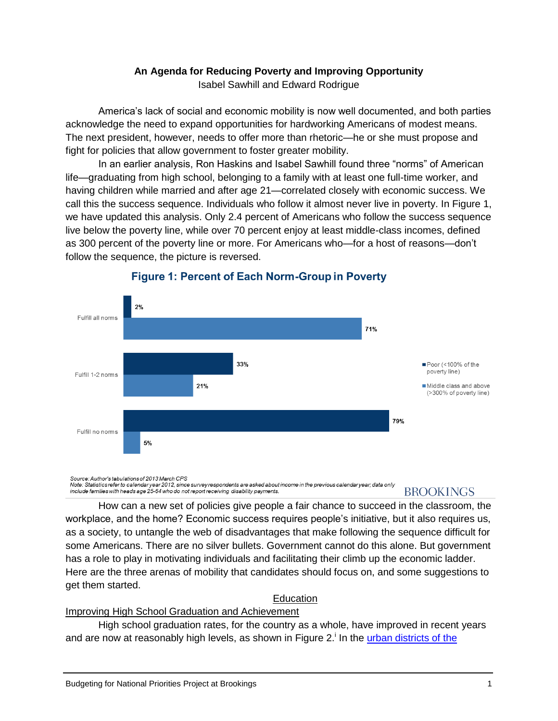# **An Agenda for Reducing Poverty and Improving Opportunity**

Isabel Sawhill and Edward Rodrigue

America's lack of social and economic mobility is now well documented, and both parties acknowledge the need to expand opportunities for hardworking Americans of modest means. The next president, however, needs to offer more than rhetoric—he or she must propose and fight for policies that allow government to foster greater mobility.

In an earlier analysis, Ron Haskins and Isabel Sawhill found three "norms" of American life—graduating from high school, belonging to a family with at least one full-time worker, and having children while married and after age 21—correlated closely with economic success. We call this the success sequence. Individuals who follow it almost never live in poverty. In Figure 1, we have updated this analysis. Only 2.4 percent of Americans who follow the success sequence live below the poverty line, while over 70 percent enjoy at least middle-class incomes, defined as 300 percent of the poverty line or more. For Americans who—for a host of reasons—don't follow the sequence, the picture is reversed.



# **Figure 1: Percent of Each Norm-Group in Poverty**

Source: Author's tabulations of 2013 March CPS Note: Statistics refer to calendar year 2012, since survey respondents are asked about income in the previous calendar year; data only include families with heads age 25-64 who do not report receiving disability payments.

# **BROOKINGS**

How can a new set of policies give people a fair chance to succeed in the classroom, the workplace, and the home? Economic success requires people's initiative, but it also requires us, as a society, to untangle the web of disadvantages that make following the sequence difficult for some Americans. There are no silver bullets. Government cannot do this alone. But government has a role to play in motivating individuals and facilitating their climb up the economic ladder. Here are the three arenas of mobility that candidates should focus on, and some suggestions to get them started.

# **Education**

#### Improving High School Graduation and Achievement

High school graduation rates, for the country as a whole, have improved in recent years and are now at reasonably high levels, as shown in Figure 2.<sup>i</sup> In the urban districts of the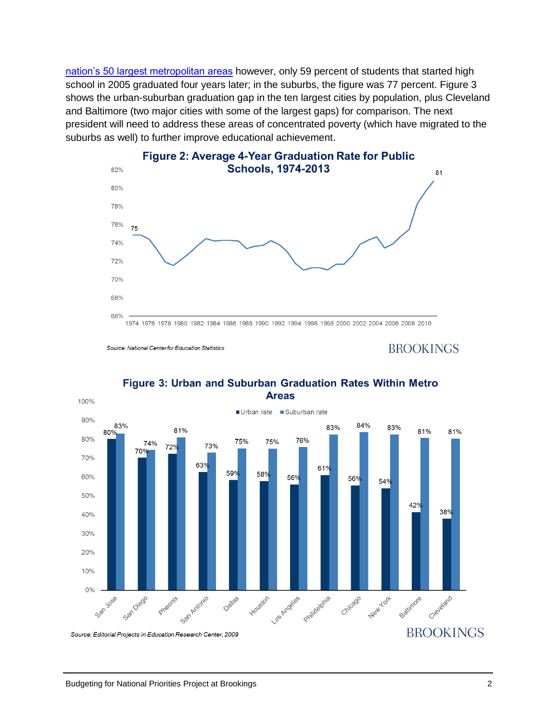[nation's 50 largest metropolitan areas](http://www.americaspromise.org/sites/default/files/legacy/bodyfiles/Cities_In_Crisis_Report_2009.pdf) however, only 59 percent of students that started high school in 2005 graduated four years later; in the suburbs, the figure was 77 percent. Figure 3 shows the urban-suburban graduation gap in the ten largest cities by population, plus Cleveland and Baltimore (two major cities with some of the largest gaps) for comparison. The next president will need to address these areas of concentrated poverty (which have migrated to the suburbs as well) to further improve educational achievement.



# Figure 2: Average 4-Year Graduation Rate for Public

Source: National Center for Education Statistics

**BROOKINGS** 



#### Figure 3: Urban and Suburban Graduation Rates Within Metro **Areas**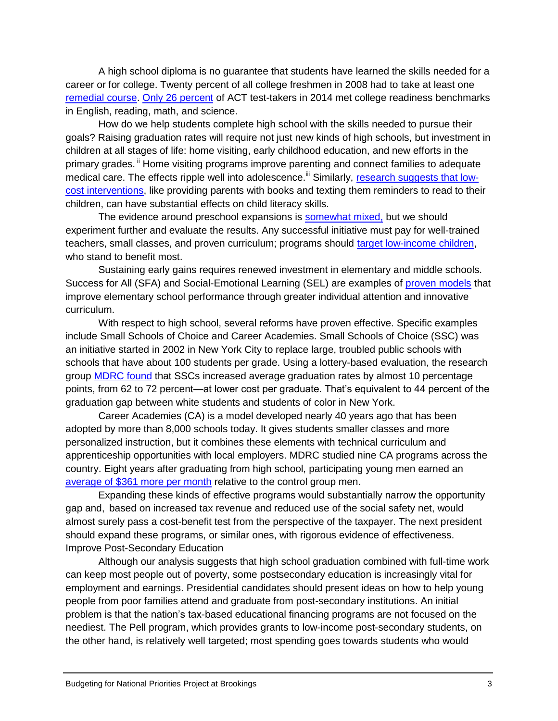A high school diploma is no guarantee that students have learned the skills needed for a career or for college. Twenty percent of all college freshmen in 2008 had to take at least one [remedial course.](http://nces.ed.gov/pubs2013/2013013.pdf) [Only 26 percent](http://www.act.org/research/policymakers/cccr14/pdf/CCCR14-NationalReadinessRpt.pdf) of ACT test-takers in 2014 met college readiness benchmarks in English, reading, math, and science.

How do we help students complete high school with the skills needed to pursue their goals? Raising graduation rates will require not just new kinds of high schools, but investment in children at all stages of life: home visiting, early childhood education, and new efforts in the primary grades. <sup>ii</sup> Home visiting programs improve parenting and connect families to adequate medical care. The effects ripple well into adolescence.<sup>iii</sup> Similarly, [research suggests that low](http://www.nber.org/papers/w20659)[cost interventions,](http://www.nber.org/papers/w20659) like providing parents with books and texting them reminders to read to their children, can have substantial effects on child literacy skills.

The evidence around preschool expansions is [somewhat mixed,](https://my.vanderbilt.edu/tnprekevaluation/files/2013/10/August2013_PRI_Kand1stFollowup_TN-VPK_RCT_ProjectResults_FullReport1.pdf) but we should experiment further and evaluate the results. Any successful initiative must pay for well-trained teachers, small classes, and proven curriculum; programs should [target low-income children,](http://www.brookings.edu/about/projects/bpea/latest-conference/2013-fall-cascio-preschool-education) who stand to benefit most.

Sustaining early gains requires renewed investment in elementary and middle schools. Success for All (SFA) and Social-Emotional Learning (SEL) are examples of [proven models](http://aer.sagepub.com/content/44/3/701) that improve elementary school performance through greater individual attention and innovative curriculum.

With respect to high school, several reforms have proven effective. Specific examples include Small Schools of Choice and Career Academies. Small Schools of Choice (SSC) was an initiative started in 2002 in New York City to replace large, troubled public schools with schools that have about 100 students per grade. Using a lottery-based evaluation, the research group **MDRC** found that SSCs increased average graduation rates by almost 10 percentage points, from 62 to 72 percent—at lower cost per graduate. That's equivalent to 44 percent of the graduation gap between white students and students of color in New York.

Career Academies (CA) is a model developed nearly 40 years ago that has been adopted by more than 8,000 schools today. It gives students smaller classes and more personalized instruction, but it combines these elements with technical curriculum and apprenticeship opportunities with local employers. MDRC studied nine CA programs across the country. Eight years after graduating from high school, participating young men earned an [average of \\$361 more per month](http://www.mdrc.org/publication/career-academies-long-term-impacts-work-education-and-transitions-adulthood) relative to the control group men.

Expanding these kinds of effective programs would substantially narrow the opportunity gap and, based on increased tax revenue and reduced use of the social safety net, would almost surely pass a cost-benefit test from the perspective of the taxpayer. The next president should expand these programs, or similar ones, with rigorous evidence of effectiveness. Improve Post-Secondary Education

Although our analysis suggests that high school graduation combined with full-time work can keep most people out of poverty, some postsecondary education is increasingly vital for employment and earnings. Presidential candidates should present ideas on how to help young people from poor families attend and graduate from post-secondary institutions. An initial problem is that the nation's tax-based educational financing programs are not focused on the neediest. The Pell program, which provides grants to low-income post-secondary students, on the other hand, is relatively well targeted; most spending goes towards students who would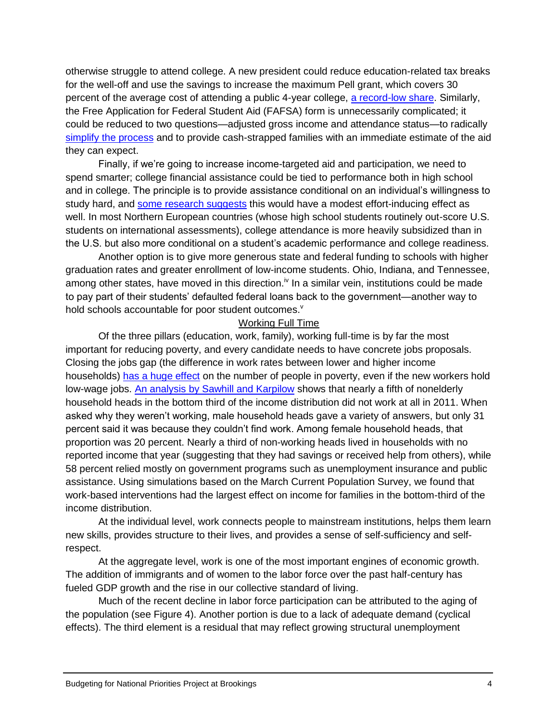otherwise struggle to attend college. A new president could reduce education-related tax breaks for the well-off and use the savings to increase the maximum Pell grant, which covers 30 percent of the average cost of attending a public 4-year college, [a record-low share.](http://trends.collegeboard.org/student-aid) Similarly, the Free Application for Federal Student Aid (FAFSA) form is unnecessarily complicated; it could be reduced to two questions—adjusted gross income and attendance status—to radically [simplify the process](http://www.brookings.edu/research/papers/2007/02/education-dynarski) and to provide cash-strapped families with an immediate estimate of the aid they can expect.

Finally, if we're going to increase income-targeted aid and participation, we need to spend smarter; college financial assistance could be tied to performance both in high school and in college. The principle is to provide assistance conditional on an individual's willingness to study hard, and [some research suggests](http://www.mdrc.org/sites/default/files/pbs_what_have_we_learned.pdf) this would have a modest effort-inducing effect as well. In most Northern European countries (whose high school students routinely out-score U.S. students on international assessments), college attendance is more heavily subsidized than in the U.S. but also more conditional on a student's academic performance and college readiness.

Another option is to give more generous state and federal funding to schools with higher graduation rates and greater enrollment of low-income students. Ohio, Indiana, and Tennessee, among other states, have moved in this direction.<sup>iv</sup> In a similar vein, institutions could be made to pay part of their students' defaulted federal loans back to the government—another way to hold schools accountable for poor student outcomes.<sup>v</sup>

#### Working Full Time

Of the three pillars (education, work, family), working full-time is by far the most important for reducing poverty, and every candidate needs to have concrete jobs proposals. Closing the jobs gap (the difference in work rates between lower and higher income households) [has a huge effect](http://www.brookings.edu/views/papers/sawhill/20010522.pdf) on the number of people in poverty, even if the new workers hold low-wage jobs. [An analysis by Sawhill and Karpilow](http://www.brookings.edu/research/papers/2013/07/01assisting-low-income-families-sawhill) shows that nearly a fifth of nonelderly household heads in the bottom third of the income distribution did not work at all in 2011. When asked why they weren't working, male household heads gave a variety of answers, but only 31 percent said it was because they couldn't find work. Among female household heads, that proportion was 20 percent. Nearly a third of non-working heads lived in households with no reported income that year (suggesting that they had savings or received help from others), while 58 percent relied mostly on government programs such as unemployment insurance and public assistance. Using simulations based on the March Current Population Survey, we found that work-based interventions had the largest effect on income for families in the bottom-third of the income distribution.

At the individual level, work connects people to mainstream institutions, helps them learn new skills, provides structure to their lives, and provides a sense of self-sufficiency and selfrespect.

At the aggregate level, work is one of the most important engines of economic growth. The addition of immigrants and of women to the labor force over the past half-century has fueled GDP growth and the rise in our collective standard of living.

Much of the recent decline in labor force participation can be attributed to the aging of the population (see Figure 4). Another portion is due to a lack of adequate demand (cyclical effects). The third element is a residual that may reflect growing structural unemployment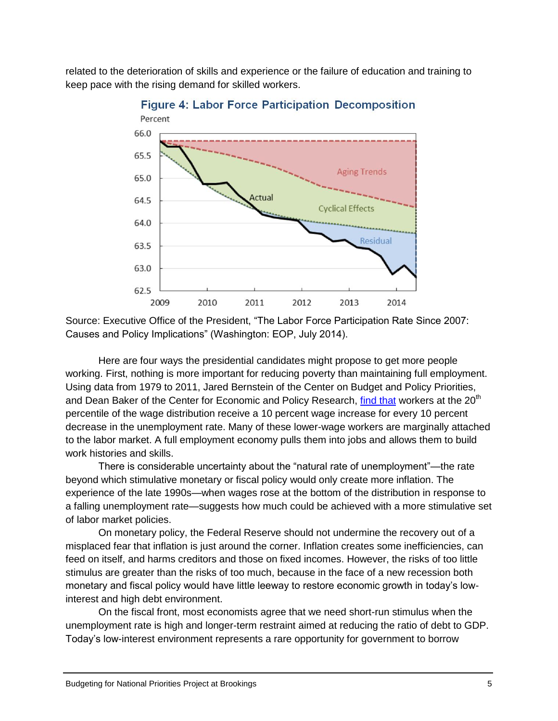related to the deterioration of skills and experience or the failure of education and training to keep pace with the rising demand for skilled workers.



**Figure 4: Labor Force Participation Decomposition** 

Source: Executive Office of the President, "The Labor Force Participation Rate Since 2007: Causes and Policy Implications" (Washington: EOP, July 2014).

Here are four ways the presidential candidates might propose to get more people working. First, nothing is more important for reducing poverty than maintaining full employment. Using data from 1979 to 2011, Jared Bernstein of the Center on Budget and Policy Priorities, and Dean Baker of the Center for Economic and Policy Research, [find that](http://www.brookings.edu/research/papers/2014/03/getting-back-to-full-employment) workers at the 20<sup>th</sup> percentile of the wage distribution receive a 10 percent wage increase for every 10 percent decrease in the unemployment rate. Many of these lower-wage workers are marginally attached to the labor market. A full employment economy pulls them into jobs and allows them to build work histories and skills.

There is considerable uncertainty about the "natural rate of unemployment"—the rate beyond which stimulative monetary or fiscal policy would only create more inflation. The experience of the late 1990s—when wages rose at the bottom of the distribution in response to a falling unemployment rate—suggests how much could be achieved with a more stimulative set of labor market policies.

On monetary policy, the Federal Reserve should not undermine the recovery out of a misplaced fear that inflation is just around the corner. Inflation creates some inefficiencies, can feed on itself, and harms creditors and those on fixed incomes. However, the risks of too little stimulus are greater than the risks of too much, because in the face of a new recession both monetary and fiscal policy would have little leeway to restore economic growth in today's lowinterest and high debt environment.

On the fiscal front, most economists agree that we need short-run stimulus when the unemployment rate is high and longer-term restraint aimed at reducing the ratio of debt to GDP. Today's low-interest environment represents a rare opportunity for government to borrow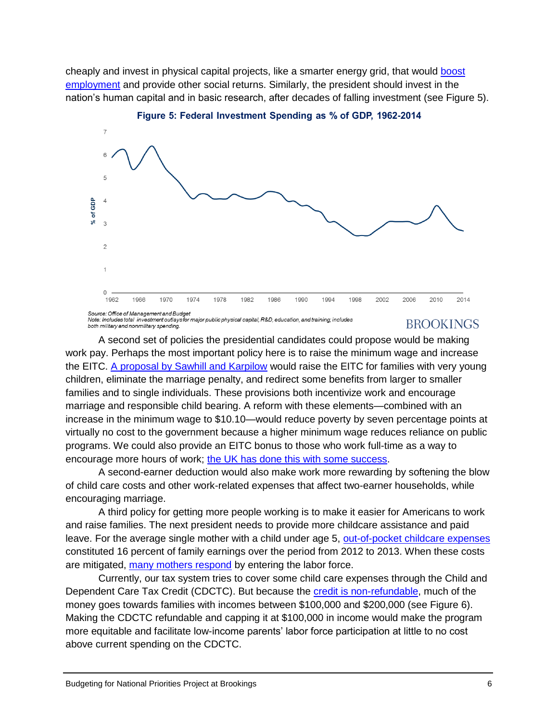cheaply and invest in physical capital projects, like a smarter energy grid, that would [boost](http://www.brookings.edu/~/media/Projects/BPEA/Spring%202012/2012a_DeLong.pdf)  [employment](http://www.brookings.edu/~/media/Projects/BPEA/Spring%202012/2012a_DeLong.pdf) and provide other social returns. Similarly, the president should invest in the nation's human capital and in basic research, after decades of falling investment (see Figure 5).



Figure 5: Federal Investment Spending as % of GDP, 1962-2014

Note: Includes total investment outlays for major public physical capital, R&D, education, and training; includes both military and nonmilitary spending.

# **BROOKINGS**

A second set of policies the presidential candidates could propose would be making work pay. Perhaps the most important policy here is to raise the minimum wage and increase the EITC. [A proposal by Sawhill and Karpilow](http://www.brookings.edu/research/papers/2014/01/30-raising-minimum-wage-redesigning-eitc-sawhill) would raise the EITC for families with very young children, eliminate the marriage penalty, and redirect some benefits from larger to smaller families and to single individuals. These provisions both incentivize work and encourage marriage and responsible child bearing. A reform with these elements—combined with an increase in the minimum wage to \$10.10—would reduce poverty by seven percentage points at virtually no cost to the government because a higher minimum wage reduces reliance on public programs. We could also provide an EITC bonus to those who work full-time as a way to encourage more hours of work; [the UK has done this with some success.](https://www.gov.uk/government/uploads/system/uploads/attachment_data/file/329203/ifs-laboursupply.pdf)

A second-earner deduction would also make work more rewarding by softening the blow of child care costs and other work-related expenses that affect two-earner households, while encouraging marriage.

A third policy for getting more people working is to make it easier for Americans to work and raise families. The next president needs to provide more childcare assistance and paid leave. For the average single mother with a child under age 5, [out-of-pocket childcare expenses](http://www.hamiltonproject.org/files/downloads_and_links/child_care_credit_ziliak.pdf) constituted 16 percent of family earnings over the period from 2012 to 2013. When these costs are mitigated, [many mothers respond](http://research.upjohn.org/cgi/viewcontent.cgi?article=1086&context=up_workingpapers) by entering the labor force.

Currently, our tax system tries to cover some child care expenses through the Child and Dependent Care Tax Credit (CDCTC). But because the [credit is non-refundable,](http://www.taxpolicycenter.org/briefing-book/key-elements/family/child-care-subsidies.cfm) much of the money goes towards families with incomes between \$100,000 and \$200,000 (see Figure 6). Making the CDCTC refundable and capping it at \$100,000 in income would make the program more equitable and facilitate low-income parents' labor force participation at little to no cost above current spending on the CDCTC.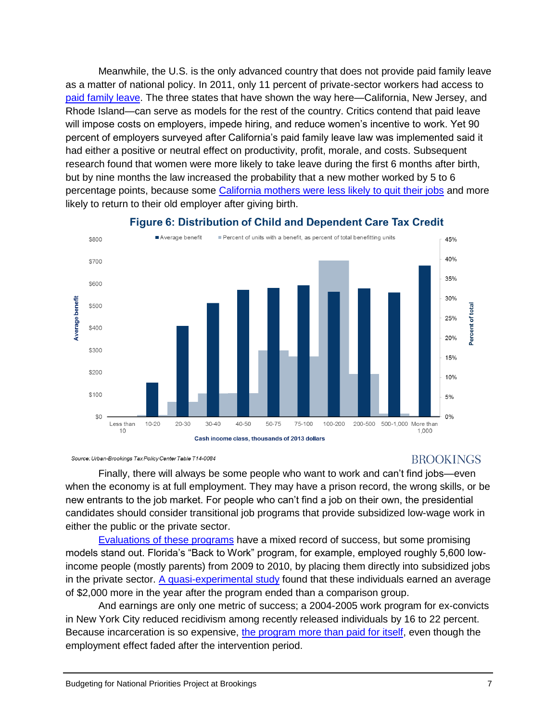Meanwhile, the U.S. is the only advanced country that does not provide paid family leave as a matter of national policy. In 2011, only 11 percent of private-sector workers had access to [paid family leave.](http://www.nationalpartnership.org/research-library/work-family/expecting-better.pdf) The three states that have shown the way here—California, New Jersey, and Rhode Island—can serve as models for the rest of the country. Critics contend that paid leave will impose costs on employers, impede hiring, and reduce women's incentive to work. Yet 90 percent of employers surveyed after California's paid family leave law was implemented said it had either a positive or neutral effect on productivity, profit, morale, and costs. Subsequent research found that women were more likely to take leave during the first 6 months after birth, but by nine months the law increased the probability that a new mother worked by 5 to 6 percentage points, because some [California mothers were less likely to quit their jobs](http://www.dol.gov/asp/evaluation/reports/PaidLeaveDeliverable.pdf) and more likely to return to their old employer after giving birth.



# **Figure 6: Distribution of Child and Dependent Care Tax Credit**

Source: Urban-Brookings Tax Policy Center Table T14-0084

# **BROOKINGS**

Finally, there will always be some people who want to work and can't find jobs—even when the economy is at full employment. They may have a prison record, the wrong skills, or be new entrants to the job market. For people who can't find a job on their own, the presidential candidates should consider transitional job programs that provide subsidized low-wage work in either the public or the private sector.

[Evaluations of these programs](http://www.acf.hhs.gov/sites/default/files/opre/tj_09_paper_embed.pdf) have a mixed record of success, but some promising models stand out. Florida's "Back to Work" program, for example, employed roughly 5,600 lowincome people (mostly parents) from 2009 to 2010, by placing them directly into subsidized jobs in the private sector.  $A$  quasi-experimental study found that these individuals earned an average of \$2,000 more in the year after the program ended than a comparison group.

And earnings are only one metric of success; a 2004-2005 work program for ex-convicts in New York City reduced recidivism among recently released individuals by 16 to 22 percent. Because incarceration is so expensive, [the program more than paid for itself,](http://www.urban.org/sites/default/files/alfresco/publication-pdfs/1001362-Transitional-Jobs-for-Ex-Prisoners.PDF) even though the employment effect faded after the intervention period.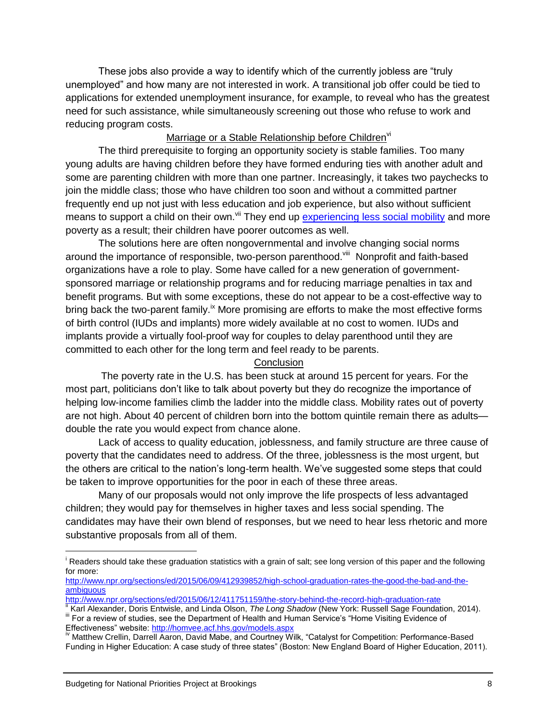These jobs also provide a way to identify which of the currently jobless are "truly unemployed" and how many are not interested in work. A transitional job offer could be tied to applications for extended unemployment insurance, for example, to reveal who has the greatest need for such assistance, while simultaneously screening out those who refuse to work and reducing program costs.

#### Marriage or a Stable Relationship before Children<sup>vi</sup>

The third prerequisite to forging an opportunity society is stable families. Too many young adults are having children before they have formed enduring ties with another adult and some are parenting children with more than one partner. Increasingly, it takes two paychecks to join the middle class; those who have children too soon and without a committed partner frequently end up not just with less education and job experience, but also without sufficient means to support a child on their own.<sup>Vii</sup> They end up [experiencing less social mobility](http://www.brookings.edu/~/media/research/files/reports/2015/01/improve-child-life-chances/improving_childrens_life_chances_through_better_family_planning_sawhill.pdf) and more poverty as a result; their children have poorer outcomes as well.

The solutions here are often nongovernmental and involve changing social norms around the importance of responsible, two-person parenthood.<sup>viii</sup> Nonprofit and faith-based organizations have a role to play. Some have called for a new generation of governmentsponsored marriage or relationship programs and for reducing marriage penalties in tax and benefit programs. But with some exceptions, these do not appear to be a cost-effective way to bring back the two-parent family.<sup>ix</sup> More promising are efforts to make the most effective forms of birth control (IUDs and implants) more widely available at no cost to women. IUDs and implants provide a virtually fool-proof way for couples to delay parenthood until they are committed to each other for the long term and feel ready to be parents.

#### **Conclusion**

The poverty rate in the U.S. has been stuck at around 15 percent for years. For the most part, politicians don't like to talk about poverty but they do recognize the importance of helping low-income families climb the ladder into the middle class. Mobility rates out of poverty are not high. About 40 percent of children born into the bottom quintile remain there as adults double the rate you would expect from chance alone.

Lack of access to quality education, joblessness, and family structure are three cause of poverty that the candidates need to address. Of the three, joblessness is the most urgent, but the others are critical to the nation's long-term health. We've suggested some steps that could be taken to improve opportunities for the poor in each of these three areas.

Many of our proposals would not only improve the life prospects of less advantaged children; they would pay for themselves in higher taxes and less social spending. The candidates may have their own blend of responses, but we need to hear less rhetoric and more substantive proposals from all of them.

<sup>&</sup>lt;sup>i</sup> Readers should take these graduation statistics with a grain of salt; see long version of this paper and the following for more:

[http://www.npr.org/sections/ed/2015/06/09/412939852/high-school-graduation-rates-the-good-the-bad-and-the](http://www.npr.org/sections/ed/2015/06/09/412939852/high-school-graduation-rates-the-good-the-bad-and-the-ambiguous)[ambiguous](http://www.npr.org/sections/ed/2015/06/09/412939852/high-school-graduation-rates-the-good-the-bad-and-the-ambiguous)

<http://www.npr.org/sections/ed/2015/06/12/411751159/the-story-behind-the-record-high-graduation-rate>

<sup>&</sup>lt;sup>ii</sup> Karl Alexander, Doris Entwisle, and Linda Olson, *The Long Shadow* (New York: Russell Sage Foundation, 2014). iffer a review of studies, see the Department of Health and Human Service's "Home Visiting Evidence of

Effectiveness" website: http://homvee.acf.hhs.gov/models.aspx

<sup>&</sup>lt;sup>iv</sup> Matthew Crellin, Darrell Aaron, David Mabe, and Courtney Wilk, "Catalyst for Competition: Performance-Based Funding in Higher Education: A case study of three states" (Boston: New England Board of Higher Education, 2011).